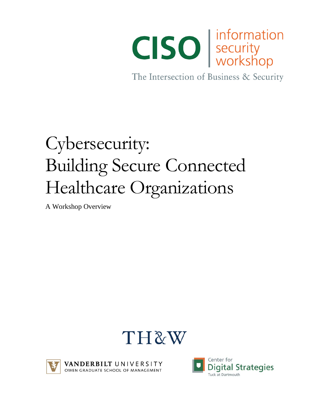

The Intersection of Business & Security

# Cybersecurity: Building Secure Connected Healthcare Organizations

A Workshop Overview





VANDERBILT UNIVERSITY OWEN GRADUATE SCHOOL OF MANAGEMENT

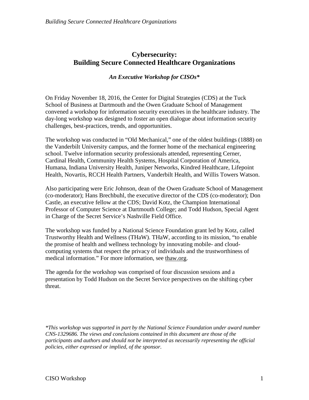### **Cybersecurity: Building Secure Connected Healthcare Organizations**

*An Executive Workshop for CISOs\**

On Friday November 18, 2016, the Center for Digital Strategies (CDS) at the Tuck School of Business at Dartmouth and the Owen Graduate School of Management convened a workshop for information security executives in the healthcare industry. The day-long workshop was designed to foster an open dialogue about information security challenges, best-practices, trends, and opportunities.

The workshop was conducted in "Old Mechanical," one of the oldest buildings (1888) on the Vanderbilt University campus, and the former home of the mechanical engineering school. Twelve information security professionals attended, representing Cerner, Cardinal Health, Community Health Systems, Hospital Corporation of America, Humana, Indiana University Health, Juniper Networks, Kindred Healthcare, Lifepoint Health, Novartis, RCCH Health Partners, Vanderbilt Health, and Willis Towers Watson.

Also participating were Eric Johnson, dean of the Owen Graduate School of Management (co-moderator); Hans Brechbuhl, the executive director of the CDS (co-moderator); Don Castle, an executive fellow at the CDS; David Kotz, the Champion International Professor of Computer Science at Dartmouth College; and Todd Hudson, Special Agent in Charge of the Secret Service's Nashville Field Office.

The workshop was funded by a National Science Foundation grant led by Kotz, called Trustworthy Health and Wellness (THaW). THaW, according to its mission, "to enable the promise of health and wellness technology by innovating mobile- and cloudcomputing systems that respect the privacy of individuals and the trustworthiness of medical information." For more information, see thaw.org.

The agenda for the workshop was comprised of four discussion sessions and a presentation by Todd Hudson on the Secret Service perspectives on the shifting cyber threat.

*\*This workshop was supported in part by the National Science Foundation under award number CNS-1329686. The views and conclusions contained in this document are those of the participants and authors and should not be interpreted as necessarily representing the official policies, either expressed or implied, of the sponsor.*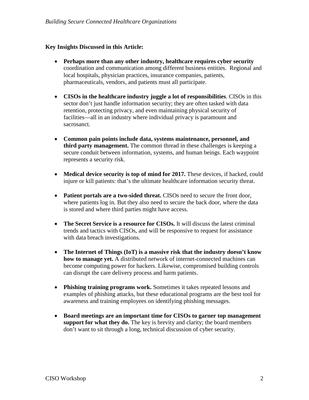#### **Key Insights Discussed in this Article:**

- **Perhaps more than any other industry, healthcare requires cyber security**  coordination and communication among different business entities. Regional and local hospitals, physician practices, insurance companies, patients, pharmaceuticals, vendors, and patients must all participate.
- **CISOs in the healthcare industry juggle a lot of responsibilities**. CISOs in this sector don't just handle information security; they are often tasked with data retention, protecting privacy, and even maintaining physical security of facilities—all in an industry where individual privacy is paramount and sacrosanct.
- **Common pain points include data, systems maintenance, personnel, and third party management.** The common thread in these challenges is keeping a secure conduit between information, systems, and human beings. Each waypoint represents a security risk.
- **Medical device security is top of mind for 2017.** These devices, if hacked, could injure or kill patients: that's the ultimate healthcare information security threat.
- **Patient portals are a two-sided threat.** CISOs need to secure the front door, where patients log in. But they also need to secure the back door, where the data is stored and where third parties might have access.
- **The Secret Service is a resource for CISOs.** It will discuss the latest criminal trends and tactics with CISOs, and will be responsive to request for assistance with data breach investigations.
- **The Internet of Things (IoT) is a massive risk that the industry doesn't know how to manage yet.** A distributed network of internet-connected machines can become computing power for hackers. Likewise, compromised building controls can disrupt the care delivery process and harm patients.
- **Phishing training programs work.** Sometimes it takes repeated lessons and examples of phishing attacks, but these educational programs are the best tool for awareness and training employees on identifying phishing messages.
- **Board meetings are an important time for CISOs to garner top management support for what they do.** The key is brevity and clarity; the board members don't want to sit through a long, technical discussion of cyber security.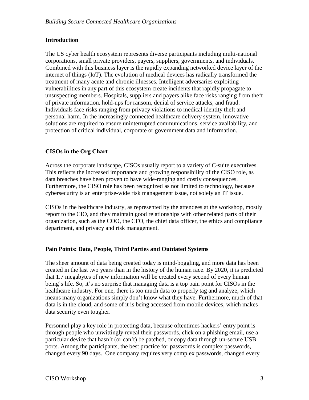#### **Introduction**

The US cyber health ecosystem represents diverse participants including multi-national corporations, small private providers, payers, suppliers, governments, and individuals. Combined with this business layer is the rapidly expanding networked device layer of the internet of things (IoT). The evolution of medical devices has radically transformed the treatment of many acute and chronic illnesses. Intelligent adversaries exploiting vulnerabilities in any part of this ecosystem create incidents that rapidly propagate to unsuspecting members. Hospitals, suppliers and payers alike face risks ranging from theft of private information, hold-ups for ransom, denial of service attacks, and fraud. Individuals face risks ranging from privacy violations to medical identity theft and personal harm. In the increasingly connected healthcare delivery system, innovative solutions are required to ensure uninterrupted communications, service availability, and protection of critical individual, corporate or government data and information.

#### **CISOs in the Org Chart**

Across the corporate landscape, CISOs usually report to a variety of C-suite executives. This reflects the increased importance and growing responsibility of the CISO role, as data breaches have been proven to have wide-ranging and costly consequences. Furthermore, the CISO role has been recognized as not limited to technology, because cybersecurity is an enterprise-wide risk management issue, not solely an IT issue.

CISOs in the healthcare industry, as represented by the attendees at the workshop, mostly report to the CIO, and they maintain good relationships with other related parts of their organization, such as the COO, the CFO, the chief data officer, the ethics and compliance department, and privacy and risk management.

#### **Pain Points: Data, People, Third Parties and Outdated Systems**

The sheer amount of data being created today is mind-boggling, and more data has been created in the last two years than in the history of the human race. By 2020, it is predicted that 1.7 megabytes of new information will be created every second of every human being's life. So, it's no surprise that managing data is a top pain point for CISOs in the healthcare industry. For one, there is too much data to properly tag and analyze, which means many organizations simply don't know what they have. Furthermore, much of that data is in the cloud, and some of it is being accessed from mobile devices, which makes data security even tougher.

Personnel play a key role in protecting data, because oftentimes hackers' entry point is through people who unwittingly reveal their passwords, click on a phishing email, use a particular device that hasn't (or can't) be patched, or copy data through un-secure USB ports. Among the participants, the best practice for passwords is complex passwords, changed every 90 days. One company requires very complex passwords, changed every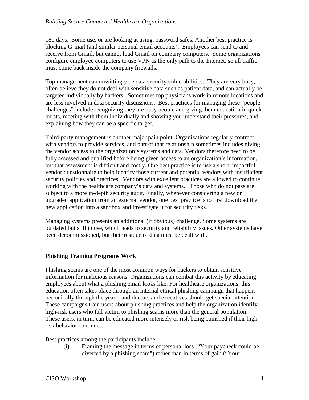#### *Building Secure Connected Healthcare Organizations*

180 days. Some use, or are looking at using, password safes. Another best practice is blocking G-mail (and similar personal email accounts). Employees can send to and receive from Gmail, but cannot load Gmail on company computers. Some organizations configure employee computers to use VPN as the only path to the Internet, so all traffic must come back inside the company firewalls.

Top management can unwittingly be data security vulnerabilities. They are very busy, often believe they do not deal with sensitive data such as patient data, and can actually be targeted individually by hackers. Sometimes top physicians work in remote locations and are less involved in data security discussions. Best practices for managing these "people challenges" include recognizing they are busy people and giving them education in quick bursts, meeting with them individually and showing you understand their pressures, and explaining how they can be a specific target.

Third-party management is another major pain point. Organizations regularly contract with vendors to provide services, and part of that relationship sometimes includes giving the vendor access to the organization's systems and data. Vendors therefore need to be fully assessed and qualified before being given access to an organization's information, but that assessment is difficult and costly. One best practice is to use a short, impactful vendor questionnaire to help identify those current and potential vendors with insufficient security policies and practices. Vendors with excellent practices are allowed to continue working with the healthcare company's data and systems. Those who do not pass are subject to a more in-depth security audit. Finally, whenever considering a new or upgraded application from an external vendor, one best practice is to first download the new application into a sandbox and investigate it for security risks.

Managing systems presents an additional (if obvious) challenge. Some systems are outdated but still in use, which leads to security and reliability issues. Other systems have been decommissioned, but their residue of data must be dealt with.

#### **Phishing Training Programs Work**

Phishing scams are one of the most common ways for hackers to obtain sensitive information for malicious reasons. Organizations can combat this activity by educating employees about what a phishing email looks like. For healthcare organizations, this education often takes place through an internal ethical phishing campaign that happens periodically through the year—and doctors and executives should get special attention. These campaigns train users about phishing practices and help the organization identify high-risk users who fall victim to phishing scams more than the general population. These users, in turn, can be educated more intensely or risk being punished if their highrisk behavior continues.

Best practices among the participants include:

(i) Framing the message in terms of personal loss ("Your paycheck could be diverted by a phishing scam") rather than in terms of gain ("Your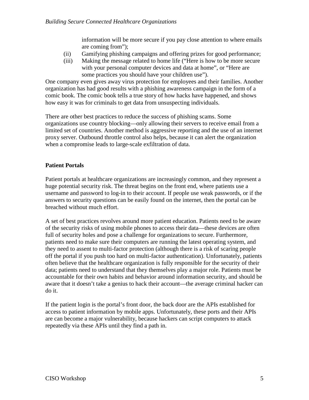information will be more secure if you pay close attention to where emails are coming from");

- (ii) Gamifying phishing campaigns and offering prizes for good performance;
- (iii) Making the message related to home life ("Here is how to be more secure with your personal computer devices and data at home", or "Here are some practices you should have your children use").

One company even gives away virus protection for employees and their families. Another organization has had good results with a phishing awareness campaign in the form of a comic book. The comic book tells a true story of how hacks have happened, and shows how easy it was for criminals to get data from unsuspecting individuals.

There are other best practices to reduce the success of phishing scams. Some organizations use country blocking—only allowing their servers to receive email from a limited set of countries. Another method is aggressive reporting and the use of an internet proxy server. Outbound throttle control also helps, because it can alert the organization when a compromise leads to large-scale exfiltration of data.

#### **Patient Portals**

Patient portals at healthcare organizations are increasingly common, and they represent a huge potential security risk. The threat begins on the front end, where patients use a username and password to log-in to their account. If people use weak passwords, or if the answers to security questions can be easily found on the internet, then the portal can be breached without much effort.

A set of best practices revolves around more patient education. Patients need to be aware of the security risks of using mobile phones to access their data—these devices are often full of security holes and pose a challenge for organizations to secure. Furthermore, patients need to make sure their computers are running the latest operating system, and they need to assent to multi-factor protection (although there is a risk of scaring people off the portal if you push too hard on multi-factor authentication). Unfortunately, patients often believe that the healthcare organization is fully responsible for the security of their data; patients need to understand that they themselves play a major role. Patients must be accountable for their own habits and behavior around information security, and should be aware that it doesn't take a genius to hack their account—the average criminal hacker can do it.

If the patient login is the portal's front door, the back door are the APIs established for access to patient information by mobile apps. Unfortunately, these ports and their APIs are can become a major vulnerability, because hackers can script computers to attack repeatedly via these APIs until they find a path in.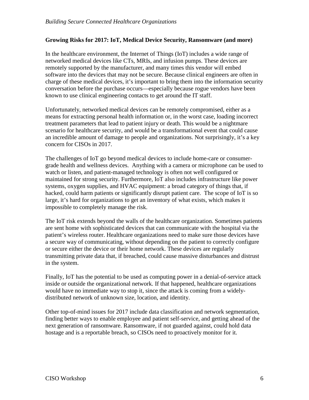#### **Growing Risks for 2017: IoT, Medical Device Security, Ransomware (and more)**

In the healthcare environment, the Internet of Things (IoT) includes a wide range of networked medical devices like CTs, MRIs, and infusion pumps. These devices are remotely supported by the manufacturer, and many times this vendor will embed software into the devices that may not be secure. Because clinical engineers are often in charge of these medical devices, it's important to bring them into the information security conversation before the purchase occurs—especially because rogue vendors have been known to use clinical engineering contacts to get around the IT staff.

Unfortunately, networked medical devices can be remotely compromised, either as a means for extracting personal health information or, in the worst case, loading incorrect treatment parameters that lead to patient injury or death. This would be a nightmare scenario for healthcare security, and would be a transformational event that could cause an incredible amount of damage to people and organizations. Not surprisingly, it's a key concern for CISOs in 2017.

The challenges of IoT go beyond medical devices to include home-care or consumergrade health and wellness devices. Anything with a camera or microphone can be used to watch or listen, and patient-managed technology is often not well configured or maintained for strong security. Furthermore, IoT also includes infrastructure like power systems, oxygen supplies, and HVAC equipment: a broad category of things that, if hacked, could harm patients or significantly disrupt patient care. The scope of IoT is so large, it's hard for organizations to get an inventory of what exists, which makes it impossible to completely manage the risk.

The IoT risk extends beyond the walls of the healthcare organization. Sometimes patients are sent home with sophisticated devices that can communicate with the hospital via the patient's wireless router. Healthcare organizations need to make sure those devices have a secure way of communicating, without depending on the patient to correctly configure or secure either the device or their home network. These devices are regularly transmitting private data that, if breached, could cause massive disturbances and distrust in the system.

Finally, IoT has the potential to be used as computing power in a denial-of-service attack inside or outside the organizational network. If that happened, healthcare organizations would have no immediate way to stop it, since the attack is coming from a widelydistributed network of unknown size, location, and identity.

Other top-of-mind issues for 2017 include data classification and network segmentation, finding better ways to enable employee and patient self-service, and getting ahead of the next generation of ransomware. Ransomware, if not guarded against, could hold data hostage and is a reportable breach, so CISOs need to proactively monitor for it.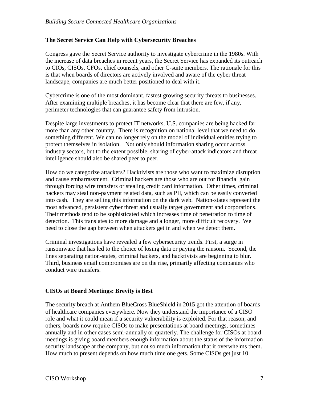#### **The Secret Service Can Help with Cybersecurity Breaches**

Congress gave the Secret Service authority to investigate cybercrime in the 1980s. With the increase of data breaches in recent years, the Secret Service has expanded its outreach to CIOs, CISOs, CFOs, chief counsels, and other C-suite members. The rationale for this is that when boards of directors are actively involved and aware of the cyber threat landscape, companies are much better positioned to deal with it.

Cybercrime is one of the most dominant, fastest growing security threats to businesses. After examining multiple breaches, it has become clear that there are few, if any, perimeter technologies that can guarantee safety from intrusion.

Despite large investments to protect IT networks, U.S. companies are being hacked far more than any other country. There is recognition on national level that we need to do something different. We can no longer rely on the model of individual entities trying to protect themselves in isolation. Not only should information sharing occur across industry sectors, but to the extent possible, sharing of cyber-attack indicators and threat intelligence should also be shared peer to peer.

How do we categorize attackers? Hacktivists are those who want to maximize disruption and cause embarrassment. Criminal hackers are those who are out for financial gain through forcing wire transfers or stealing credit card information. Other times, criminal hackers may steal non-payment related data, such as PII, which can be easily converted into cash. They are selling this information on the dark web. Nation-states represent the most advanced, persistent cyber threat and usually target government and corporations. Their methods tend to be sophisticated which increases time of penetration to time of detection. This translates to more damage and a longer, more difficult recovery. We need to close the gap between when attackers get in and when we detect them.

Criminal investigations have revealed a few cybersecurity trends. First, a surge in ransomware that has led to the choice of losing data or paying the ransom. Second, the lines separating nation-states, criminal hackers, and hacktivists are beginning to blur. Third, business email compromises are on the rise, primarily affecting companies who conduct wire transfers.

#### **CISOs at Board Meetings: Brevity is Best**

The security breach at Anthem BlueCross BlueShield in 2015 got the attention of boards of healthcare companies everywhere. Now they understand the importance of a CISO role and what it could mean if a security vulnerability is exploited. For that reason, and others, boards now require CISOs to make presentations at board meetings, sometimes annually and in other cases semi-annually or quarterly. The challenge for CISOs at board meetings is giving board members enough information about the status of the information security landscape at the company, but not so much information that it overwhelms them. How much to present depends on how much time one gets. Some CISOs get just 10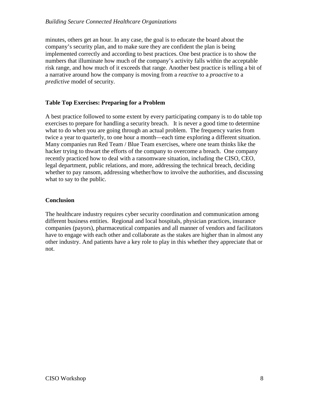#### *Building Secure Connected Healthcare Organizations*

minutes, others get an hour. In any case, the goal is to educate the board about the company's security plan, and to make sure they are confident the plan is being implemented correctly and according to best practices. One best practice is to show the numbers that illuminate how much of the company's activity falls within the acceptable risk range, and how much of it exceeds that range. Another best practice is telling a bit of a narrative around how the company is moving from a *reactive* to a *proactive* to a *predictive* model of security.

#### **Table Top Exercises: Preparing for a Problem**

A best practice followed to some extent by every participating company is to do table top exercises to prepare for handling a security breach. It is never a good time to determine what to do when you are going through an actual problem. The frequency varies from twice a year to quarterly, to one hour a month—each time exploring a different situation. Many companies run Red Team / Blue Team exercises, where one team thinks like the hacker trying to thwart the efforts of the company to overcome a breach. One company recently practiced how to deal with a ransomware situation, including the CISO, CEO, legal department, public relations, and more, addressing the technical breach, deciding whether to pay ransom, addressing whether/how to involve the authorities, and discussing what to say to the public.

#### **Conclusion**

The healthcare industry requires cyber security coordination and communication among different business entities. Regional and local hospitals, physician practices, insurance companies (payors), pharmaceutical companies and all manner of vendors and facilitators have to engage with each other and collaborate as the stakes are higher than in almost any other industry. And patients have a key role to play in this whether they appreciate that or not.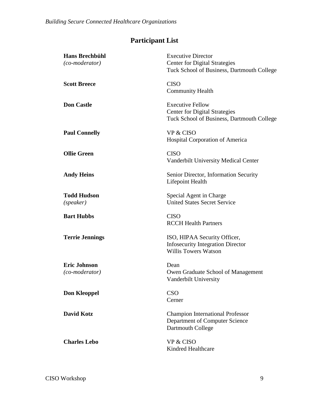## **Participant List**

| <b>Hans Brechbühl</b><br>(co-moderator) | <b>Executive Director</b><br><b>Center for Digital Strategies</b><br>Tuck School of Business, Dartmouth College |
|-----------------------------------------|-----------------------------------------------------------------------------------------------------------------|
| <b>Scott Breece</b>                     | <b>CISO</b><br><b>Community Health</b>                                                                          |
| <b>Don Castle</b>                       | <b>Executive Fellow</b><br><b>Center for Digital Strategies</b><br>Tuck School of Business, Dartmouth College   |
| <b>Paul Connelly</b>                    | <b>VP &amp; CISO</b><br>Hospital Corporation of America                                                         |
| <b>Ollie Green</b>                      | <b>CISO</b><br><b>Vanderbilt University Medical Center</b>                                                      |
| <b>Andy Heins</b>                       | Senior Director, Information Security<br>Lifepoint Health                                                       |
| <b>Todd Hudson</b><br>(speaker)         | Special Agent in Charge<br><b>United States Secret Service</b>                                                  |
| <b>Bart Hubbs</b>                       | <b>CISO</b><br><b>RCCH Health Partners</b>                                                                      |
| <b>Terrie Jennings</b>                  | ISO, HIPAA Security Officer,<br><b>Infosecurity Integration Director</b><br>Willis Towers Watson                |
| <b>Eric Johnson</b><br>(co-moderator)   | Dean<br>Owen Graduate School of Management<br>Vanderbilt University                                             |
| <b>Don Kleoppel</b>                     | <b>CSO</b><br>Cerner                                                                                            |
| <b>David Kotz</b>                       | <b>Champion International Professor</b><br>Department of Computer Science<br>Dartmouth College                  |
| <b>Charles Lebo</b>                     | <b>VP &amp; CISO</b><br>Kindred Healthcare                                                                      |